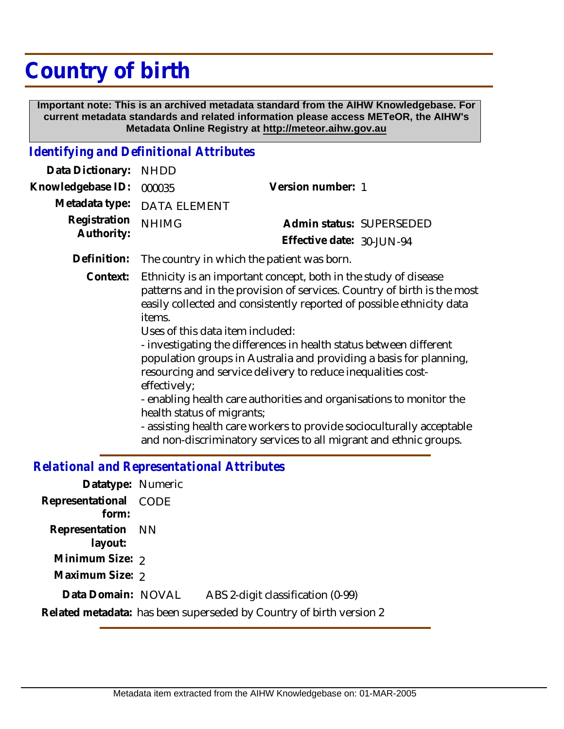# **Country of birth**

 **Important note: This is an archived metadata standard from the AIHW Knowledgebase. For current metadata standards and related information please access METeOR, the AIHW's Metadata Online Registry at http://meteor.aihw.gov.au**

## *Identifying and Definitional Attributes*

| Data Dictionary:           | <b>NHDD</b>                                                                                                                                                                                                                                                                                                                                                                                                                                                                                                                                                                                                                                                                                                                                      |                           |  |
|----------------------------|--------------------------------------------------------------------------------------------------------------------------------------------------------------------------------------------------------------------------------------------------------------------------------------------------------------------------------------------------------------------------------------------------------------------------------------------------------------------------------------------------------------------------------------------------------------------------------------------------------------------------------------------------------------------------------------------------------------------------------------------------|---------------------------|--|
| Knowledgebase ID:          | 000035                                                                                                                                                                                                                                                                                                                                                                                                                                                                                                                                                                                                                                                                                                                                           | Version number: 1         |  |
| Metadata type:             | <b>DATA ELEMENT</b>                                                                                                                                                                                                                                                                                                                                                                                                                                                                                                                                                                                                                                                                                                                              |                           |  |
| Registration<br>Authority: | <b>NHIMG</b>                                                                                                                                                                                                                                                                                                                                                                                                                                                                                                                                                                                                                                                                                                                                     | Admin status: SUPERSEDED  |  |
|                            |                                                                                                                                                                                                                                                                                                                                                                                                                                                                                                                                                                                                                                                                                                                                                  | Effective date: 30-JUN-94 |  |
| Definition:                | The country in which the patient was born.                                                                                                                                                                                                                                                                                                                                                                                                                                                                                                                                                                                                                                                                                                       |                           |  |
| Context:                   | Ethnicity is an important concept, both in the study of disease<br>patterns and in the provision of services. Country of birth is the most<br>easily collected and consistently reported of possible ethnicity data<br>items.<br>Uses of this data item included:<br>- investigating the differences in health status between different<br>population groups in Australia and providing a basis for planning,<br>resourcing and service delivery to reduce inequalities cost-<br>effectively;<br>- enabling health care authorities and organisations to monitor the<br>health status of migrants;<br>- assisting health care workers to provide socioculturally acceptable<br>and non-discriminatory services to all migrant and ethnic groups. |                           |  |

## *Relational and Representational Attributes*

| Datatype: Numeric            |      |                                                                     |
|------------------------------|------|---------------------------------------------------------------------|
| Representational<br>form:    | CODE |                                                                     |
| Representation NN<br>layout: |      |                                                                     |
| Minimum Size: 2              |      |                                                                     |
| Maximum Size: 2              |      |                                                                     |
| Data Domain: NOVAL           |      | ABS 2-digit classification (0-99)                                   |
|                              |      | Related metadata: has been superseded by Country of birth version 2 |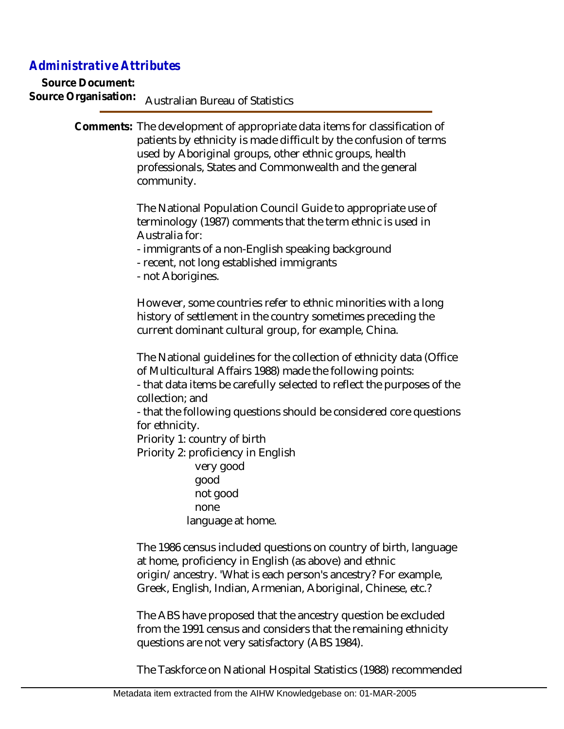## *Administrative Attributes*

**Source Document:** Source Organisation: **Australian Bureau of Statistics** 

> Comments: The development of appropriate data items for classification of patients by ethnicity is made difficult by the confusion of terms used by Aboriginal groups, other ethnic groups, health professionals, States and Commonwealth and the general community.

> > The National Population Council Guide to appropriate use of terminology (1987) comments that the term ethnic is used in Australia for:

- immigrants of a non-English speaking background

- recent, not long established immigrants
- not Aborigines.

However, some countries refer to ethnic minorities with a long history of settlement in the country sometimes preceding the current dominant cultural group, for example, China.

The National guidelines for the collection of ethnicity data (Office of Multicultural Affairs 1988) made the following points:

- that data items be carefully selected to reflect the purposes of the collection; and

- that the following questions should be considered core questions for ethnicity.

Priority 1: country of birth

Priority 2: proficiency in English

 very good good not good none language at home.

The 1986 census included questions on country of birth, language at home, proficiency in English (as above) and ethnic origin/ancestry. 'What is each person's ancestry? For example, Greek, English, Indian, Armenian, Aboriginal, Chinese, etc.?

The ABS have proposed that the ancestry question be excluded from the 1991 census and considers that the remaining ethnicity questions are not very satisfactory (ABS 1984).

The Taskforce on National Hospital Statistics (1988) recommended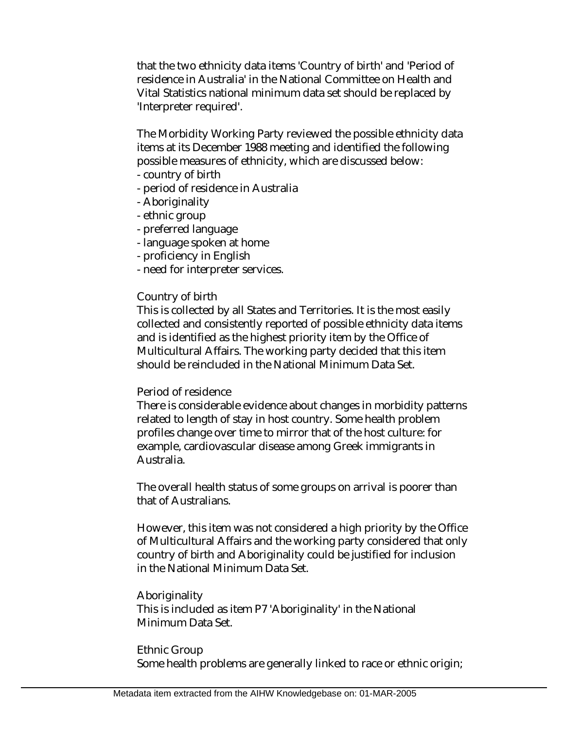that the two ethnicity data items 'Country of birth' and 'Period of residence in Australia' in the National Committee on Health and Vital Statistics national minimum data set should be replaced by 'Interpreter required'.

The Morbidity Working Party reviewed the possible ethnicity data items at its December 1988 meeting and identified the following possible measures of ethnicity, which are discussed below:

- country of birth
- period of residence in Australia
- Aboriginality
- ethnic group
- preferred language
- language spoken at home
- proficiency in English
- need for interpreter services.

#### Country of birth

This is collected by all States and Territories. It is the most easily collected and consistently reported of possible ethnicity data items and is identified as the highest priority item by the Office of Multicultural Affairs. The working party decided that this item should be reincluded in the National Minimum Data Set.

#### Period of residence

There is considerable evidence about changes in morbidity patterns related to length of stay in host country. Some health problem profiles change over time to mirror that of the host culture: for example, cardiovascular disease among Greek immigrants in Australia.

The overall health status of some groups on arrival is poorer than that of Australians.

However, this item was not considered a high priority by the Office of Multicultural Affairs and the working party considered that only country of birth and Aboriginality could be justified for inclusion in the National Minimum Data Set.

### Aboriginality

This is included as item P7 'Aboriginality' in the National Minimum Data Set.

## Ethnic Group

Some health problems are generally linked to race or ethnic origin;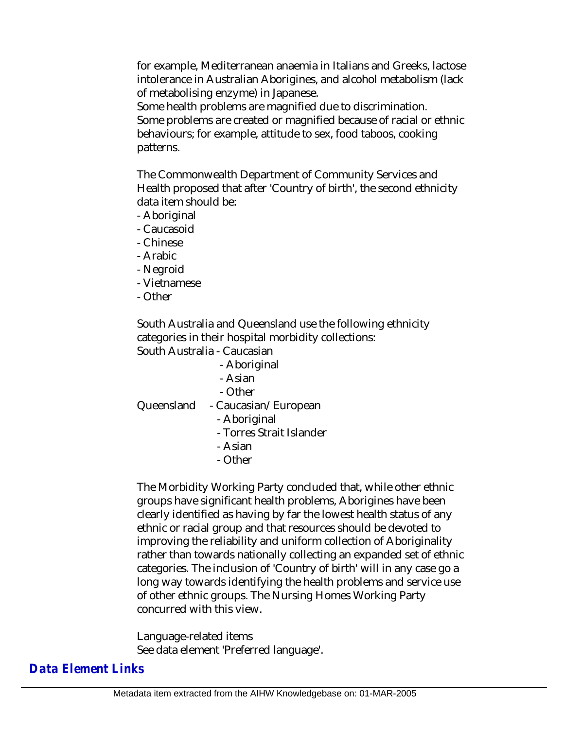for example, Mediterranean anaemia in Italians and Greeks, lactose intolerance in Australian Aborigines, and alcohol metabolism (lack of metabolising enzyme) in Japanese.

Some health problems are magnified due to discrimination. Some problems are created or magnified because of racial or ethnic behaviours; for example, attitude to sex, food taboos, cooking patterns.

The Commonwealth Department of Community Services and Health proposed that after 'Country of birth', the second ethnicity data item should be:

- Aboriginal
- Caucasoid
- Chinese
- Arabic
- Negroid
- Vietnamese
- Other

South Australia and Queensland use the following ethnicity categories in their hospital morbidity collections: South Australia - Caucasian

- Aboriginal
- Asian
- Other

Queensland - Caucasian/European

- Aboriginal
- Torres Strait Islander
- Asian
- Other

The Morbidity Working Party concluded that, while other ethnic groups have significant health problems, Aborigines have been clearly identified as having by far the lowest health status of any ethnic or racial group and that resources should be devoted to improving the reliability and uniform collection of Aboriginality rather than towards nationally collecting an expanded set of ethnic categories. The inclusion of 'Country of birth' will in any case go a long way towards identifying the health problems and service use of other ethnic groups. The Nursing Homes Working Party concurred with this view.

Language-related items See data element 'Preferred language'.

# *Data Element Links*